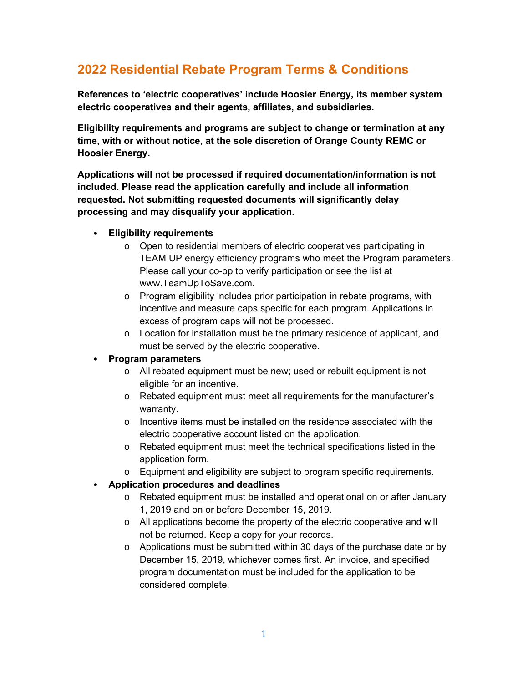# **2022 Residential Rebate Program Terms & Conditions**

**References to 'electric cooperatives' include Hoosier Energy, its member system electric cooperatives and their agents, affiliates, and subsidiaries.**

**Eligibility requirements and programs are subject to change or termination at any time, with or without notice, at the sole discretion of Orange County REMC or Hoosier Energy.**

**Applications will not be processed if required documentation/information is not included. Please read the application carefully and include all information requested. Not submitting requested documents will significantly delay processing and may disqualify your application.**

#### • **Eligibility requirements**

- o Open to residential members of electric cooperatives participating in TEAM UP energy efficiency programs who meet the Program parameters. Please call your co-op to verify participation or see the list at www.TeamUpToSave.com.
- o Program eligibility includes prior participation in rebate programs, with incentive and measure caps specific for each program. Applications in excess of program caps will not be processed.
- o Location for installation must be the primary residence of applicant, and must be served by the electric cooperative.

### • **Program parameters**

- $\circ$  All rebated equipment must be new; used or rebuilt equipment is not eligible for an incentive.
- o Rebated equipment must meet all requirements for the manufacturer's warranty.
- o Incentive items must be installed on the residence associated with the electric cooperative account listed on the application.
- o Rebated equipment must meet the technical specifications listed in the application form.
- o Equipment and eligibility are subject to program specific requirements.

### • **Application procedures and deadlines**

- o Rebated equipment must be installed and operational on or after January 1, 2019 and on or before December 15, 2019.
- o All applications become the property of the electric cooperative and will not be returned. Keep a copy for your records.
- $\circ$  Applications must be submitted within 30 days of the purchase date or by December 15, 2019, whichever comes first. An invoice, and specified program documentation must be included for the application to be considered complete.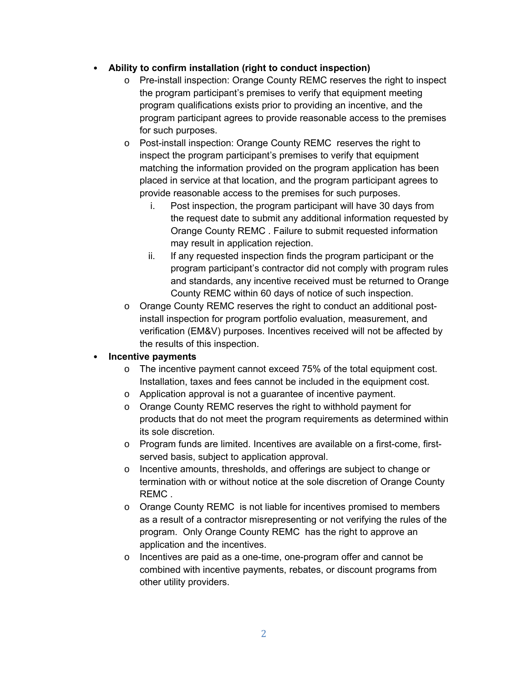### • **Ability to confirm installation (right to conduct inspection)**

- o Pre-install inspection: Orange County REMC reserves the right to inspect the program participant's premises to verify that equipment meeting program qualifications exists prior to providing an incentive, and the program participant agrees to provide reasonable access to the premises for such purposes.
- o Post-install inspection: Orange County REMC reserves the right to inspect the program participant's premises to verify that equipment matching the information provided on the program application has been placed in service at that location, and the program participant agrees to provide reasonable access to the premises for such purposes.
	- i. Post inspection, the program participant will have 30 days from the request date to submit any additional information requested by Orange County REMC . Failure to submit requested information may result in application rejection.
	- ii. If any requested inspection finds the program participant or the program participant's contractor did not comply with program rules and standards, any incentive received must be returned to Orange County REMC within 60 days of notice of such inspection.
- o Orange County REMC reserves the right to conduct an additional postinstall inspection for program portfolio evaluation, measurement, and verification (EM&V) purposes. Incentives received will not be affected by the results of this inspection.

### • **Incentive payments**

- o The incentive payment cannot exceed 75% of the total equipment cost. Installation, taxes and fees cannot be included in the equipment cost.
- o Application approval is not a guarantee of incentive payment.
- o Orange County REMC reserves the right to withhold payment for products that do not meet the program requirements as determined within its sole discretion.
- o Program funds are limited. Incentives are available on a first-come, firstserved basis, subject to application approval.
- o Incentive amounts, thresholds, and offerings are subject to change or termination with or without notice at the sole discretion of Orange County REMC .
- o Orange County REMC is not liable for incentives promised to members as a result of a contractor misrepresenting or not verifying the rules of the program. Only Orange County REMC has the right to approve an application and the incentives.
- o Incentives are paid as a one-time, one-program offer and cannot be combined with incentive payments, rebates, or discount programs from other utility providers.